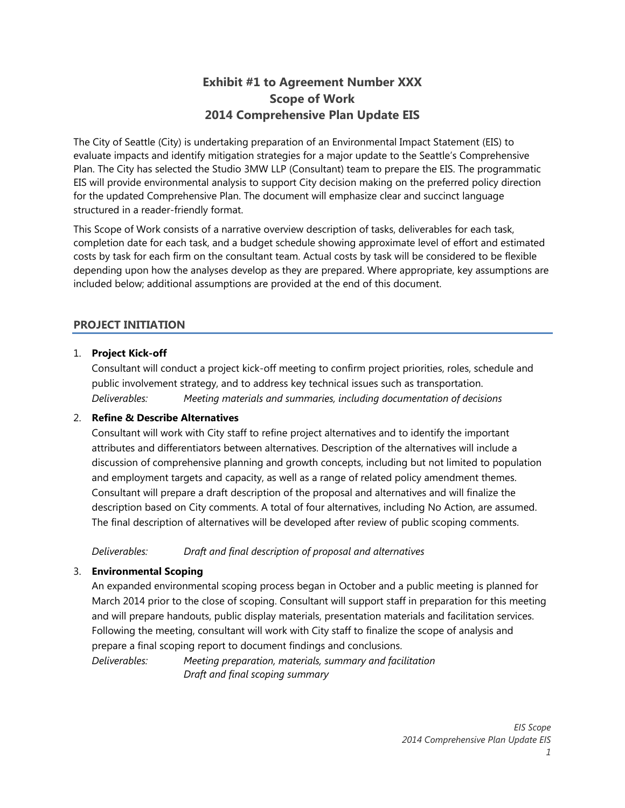# **Exhibit #1 to Agreement Number XXX Scope of Work 2014 Comprehensive Plan Update EIS**

The City of Seattle (City) is undertaking preparation of an Environmental Impact Statement (EIS) to evaluate impacts and identify mitigation strategies for a major update to the Seattle's Comprehensive Plan. The City has selected the Studio 3MW LLP (Consultant) team to prepare the EIS. The programmatic EIS will provide environmental analysis to support City decision making on the preferred policy direction for the updated Comprehensive Plan. The document will emphasize clear and succinct language structured in a reader-friendly format.

This Scope of Work consists of a narrative overview description of tasks, deliverables for each task, completion date for each task, and a budget schedule showing approximate level of effort and estimated costs by task for each firm on the consultant team. Actual costs by task will be considered to be flexible depending upon how the analyses develop as they are prepared. Where appropriate, key assumptions are included below; additional assumptions are provided at the end of this document.

# **PROJECT INITIATION**

# 1. **Project Kick-off**

Consultant will conduct a project kick-off meeting to confirm project priorities, roles, schedule and public involvement strategy, and to address key technical issues such as transportation. *Deliverables: Meeting materials and summaries, including documentation of decisions* 

# 2. **Refine & Describe Alternatives**

Consultant will work with City staff to refine project alternatives and to identify the important attributes and differentiators between alternatives. Description of the alternatives will include a discussion of comprehensive planning and growth concepts, including but not limited to population and employment targets and capacity, as well as a range of related policy amendment themes. Consultant will prepare a draft description of the proposal and alternatives and will finalize the description based on City comments. A total of four alternatives, including No Action, are assumed. The final description of alternatives will be developed after review of public scoping comments.

*Deliverables: Draft and final description of proposal and alternatives* 

# 3. **Environmental Scoping**

An expanded environmental scoping process began in October and a public meeting is planned for March 2014 prior to the close of scoping. Consultant will support staff in preparation for this meeting and will prepare handouts, public display materials, presentation materials and facilitation services. Following the meeting, consultant will work with City staff to finalize the scope of analysis and prepare a final scoping report to document findings and conclusions.

*Deliverables: Meeting preparation, materials, summary and facilitation Draft and final scoping summary*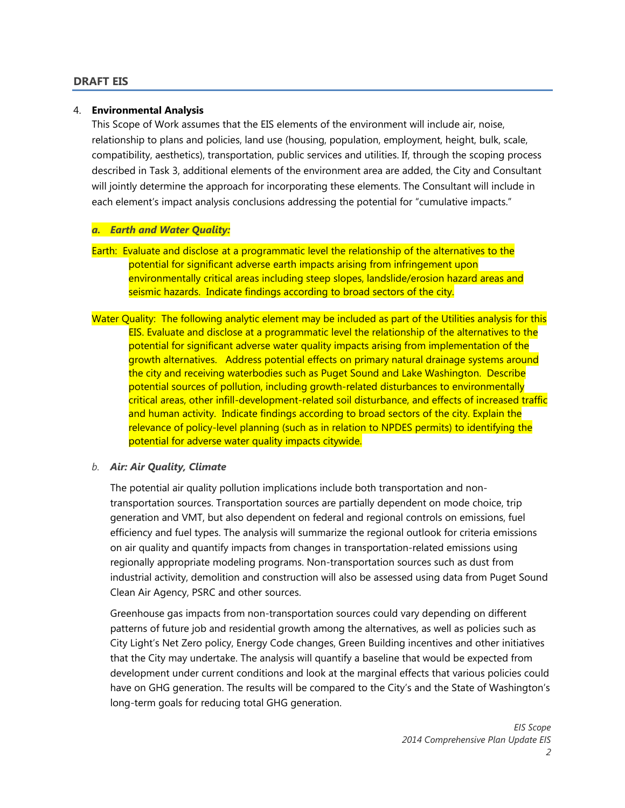#### **DRAFT EIS**

#### 4. **Environmental Analysis**

This Scope of Work assumes that the EIS elements of the environment will include air, noise, relationship to plans and policies, land use (housing, population, employment, height, bulk, scale, compatibility, aesthetics), transportation, public services and utilities. If, through the scoping process described in Task 3, additional elements of the environment area are added, the City and Consultant will jointly determine the approach for incorporating these elements. The Consultant will include in each element's impact analysis conclusions addressing the potential for "cumulative impacts."

#### *a. Earth and Water Quality:*

- Earth: Evaluate and disclose at a programmatic level the relationship of the alternatives to the potential for significant adverse earth impacts arising from infringement upon environmentally critical areas including steep slopes, landslide/erosion hazard areas and seismic hazards. Indicate findings according to broad sectors of the city.
- Water Quality: The following analytic element may be included as part of the Utilities analysis for this EIS. Evaluate and disclose at a programmatic level the relationship of the alternatives to the potential for significant adverse water quality impacts arising from implementation of the growth alternatives. Address potential effects on primary natural drainage systems around the city and receiving waterbodies such as Puget Sound and Lake Washington. Describe potential sources of pollution, including growth-related disturbances to environmentally critical areas, other infill-development-related soil disturbance, and effects of increased traffic and human activity. Indicate findings according to broad sectors of the city. Explain the relevance of policy-level planning (such as in relation to NPDES permits) to identifying the potential for adverse water quality impacts citywide.

#### *b. Air: Air Quality, Climate*

The potential air quality pollution implications include both transportation and nontransportation sources. Transportation sources are partially dependent on mode choice, trip generation and VMT, but also dependent on federal and regional controls on emissions, fuel efficiency and fuel types. The analysis will summarize the regional outlook for criteria emissions on air quality and quantify impacts from changes in transportation-related emissions using regionally appropriate modeling programs. Non-transportation sources such as dust from industrial activity, demolition and construction will also be assessed using data from Puget Sound Clean Air Agency, PSRC and other sources.

Greenhouse gas impacts from non-transportation sources could vary depending on different patterns of future job and residential growth among the alternatives, as well as policies such as City Light's Net Zero policy, Energy Code changes, Green Building incentives and other initiatives that the City may undertake. The analysis will quantify a baseline that would be expected from development under current conditions and look at the marginal effects that various policies could have on GHG generation. The results will be compared to the City's and the State of Washington's long-term goals for reducing total GHG generation.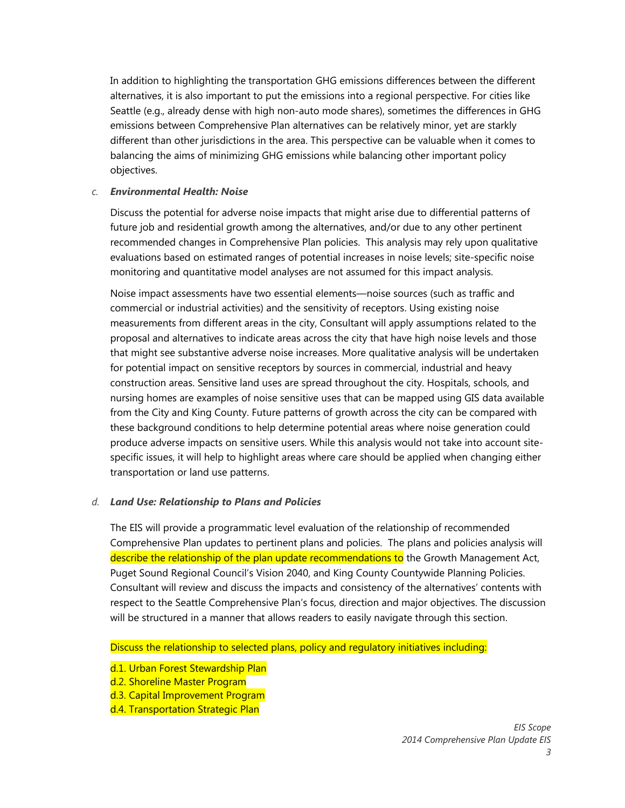In addition to highlighting the transportation GHG emissions differences between the different alternatives, it is also important to put the emissions into a regional perspective. For cities like Seattle (e.g., already dense with high non-auto mode shares), sometimes the differences in GHG emissions between Comprehensive Plan alternatives can be relatively minor, yet are starkly different than other jurisdictions in the area. This perspective can be valuable when it comes to balancing the aims of minimizing GHG emissions while balancing other important policy objectives.

#### *c. Environmental Health: Noise*

Discuss the potential for adverse noise impacts that might arise due to differential patterns of future job and residential growth among the alternatives, and/or due to any other pertinent recommended changes in Comprehensive Plan policies. This analysis may rely upon qualitative evaluations based on estimated ranges of potential increases in noise levels; site-specific noise monitoring and quantitative model analyses are not assumed for this impact analysis.

Noise impact assessments have two essential elements—noise sources (such as traffic and commercial or industrial activities) and the sensitivity of receptors. Using existing noise measurements from different areas in the city, Consultant will apply assumptions related to the proposal and alternatives to indicate areas across the city that have high noise levels and those that might see substantive adverse noise increases. More qualitative analysis will be undertaken for potential impact on sensitive receptors by sources in commercial, industrial and heavy construction areas. Sensitive land uses are spread throughout the city. Hospitals, schools, and nursing homes are examples of noise sensitive uses that can be mapped using GIS data available from the City and King County. Future patterns of growth across the city can be compared with these background conditions to help determine potential areas where noise generation could produce adverse impacts on sensitive users. While this analysis would not take into account sitespecific issues, it will help to highlight areas where care should be applied when changing either transportation or land use patterns.

#### *d. Land Use: Relationship to Plans and Policies*

The EIS will provide a programmatic level evaluation of the relationship of recommended Comprehensive Plan updates to pertinent plans and policies. The plans and policies analysis will describe the relationship of the plan update recommendations to the Growth Management Act, Puget Sound Regional Council's Vision 2040, and King County Countywide Planning Policies. Consultant will review and discuss the impacts and consistency of the alternatives' contents with respect to the Seattle Comprehensive Plan's focus, direction and major objectives. The discussion will be structured in a manner that allows readers to easily navigate through this section.

Discuss the relationship to selected plans, policy and regulatory initiatives including:

- d.1. Urban Forest Stewardship Plan
- d.2. Shoreline Master Program
- d.3. Capital Improvement Program
- d.4. Transportation Strategic Plan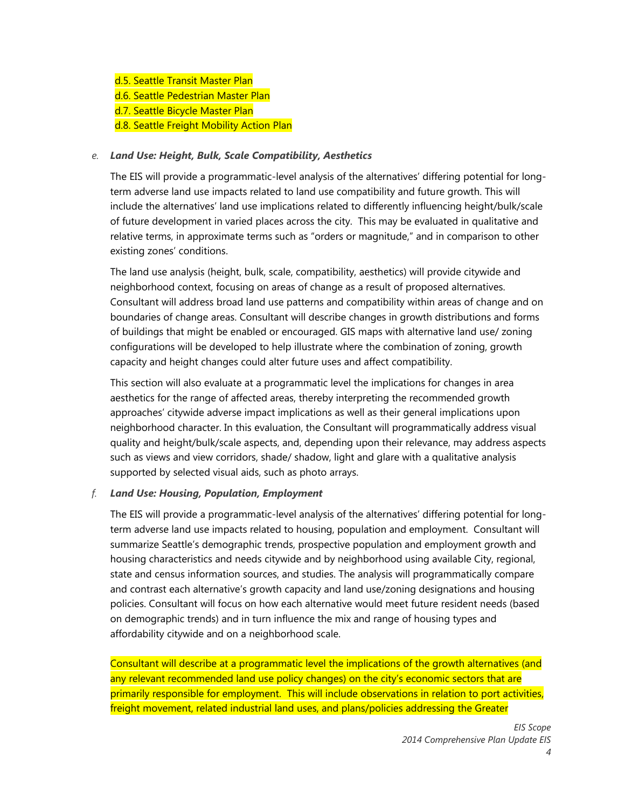- d.5. Seattle Transit Master Plan
- d.6. Seattle Pedestrian Master Plan
- d.7. Seattle Bicycle Master Plan
- d.8. Seattle Freight Mobility Action Plan

### *e. Land Use: Height, Bulk, Scale Compatibility, Aesthetics*

The EIS will provide a programmatic-level analysis of the alternatives' differing potential for longterm adverse land use impacts related to land use compatibility and future growth. This will include the alternatives' land use implications related to differently influencing height/bulk/scale of future development in varied places across the city. This may be evaluated in qualitative and relative terms, in approximate terms such as "orders or magnitude," and in comparison to other existing zones' conditions.

The land use analysis (height, bulk, scale, compatibility, aesthetics) will provide citywide and neighborhood context, focusing on areas of change as a result of proposed alternatives. Consultant will address broad land use patterns and compatibility within areas of change and on boundaries of change areas. Consultant will describe changes in growth distributions and forms of buildings that might be enabled or encouraged. GIS maps with alternative land use/ zoning configurations will be developed to help illustrate where the combination of zoning, growth capacity and height changes could alter future uses and affect compatibility.

This section will also evaluate at a programmatic level the implications for changes in area aesthetics for the range of affected areas, thereby interpreting the recommended growth approaches' citywide adverse impact implications as well as their general implications upon neighborhood character. In this evaluation, the Consultant will programmatically address visual quality and height/bulk/scale aspects, and, depending upon their relevance, may address aspects such as views and view corridors, shade/ shadow, light and glare with a qualitative analysis supported by selected visual aids, such as photo arrays.

# *f. Land Use: Housing, Population, Employment*

The EIS will provide a programmatic-level analysis of the alternatives' differing potential for longterm adverse land use impacts related to housing, population and employment. Consultant will summarize Seattle's demographic trends, prospective population and employment growth and housing characteristics and needs citywide and by neighborhood using available City, regional, state and census information sources, and studies. The analysis will programmatically compare and contrast each alternative's growth capacity and land use/zoning designations and housing policies. Consultant will focus on how each alternative would meet future resident needs (based on demographic trends) and in turn influence the mix and range of housing types and affordability citywide and on a neighborhood scale.

Consultant will describe at a programmatic level the implications of the growth alternatives (and any relevant recommended land use policy changes) on the city's economic sectors that are primarily responsible for employment. This will include observations in relation to port activities, freight movement, related industrial land uses, and plans/policies addressing the Greater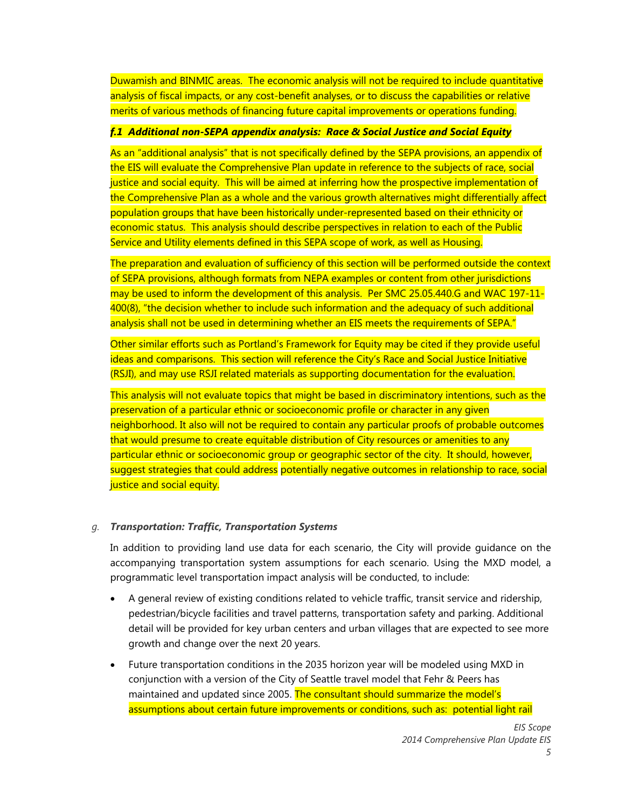Duwamish and BINMIC areas. The economic analysis will not be required to include quantitative analysis of fiscal impacts, or any cost-benefit analyses, or to discuss the capabilities or relative merits of various methods of financing future capital improvements or operations funding.

## *f.1 Additional non-SEPA appendix analysis: Race & Social Justice and Social Equity*

As an "additional analysis" that is not specifically defined by the SEPA provisions, an appendix of the EIS will evaluate the Comprehensive Plan update in reference to the subjects of race, social justice and social equity. This will be aimed at inferring how the prospective implementation of the Comprehensive Plan as a whole and the various growth alternatives might differentially affect population groups that have been historically under-represented based on their ethnicity or economic status. This analysis should describe perspectives in relation to each of the Public Service and Utility elements defined in this SEPA scope of work, as well as Housing.

The preparation and evaluation of sufficiency of this section will be performed outside the context of SEPA provisions, although formats from NEPA examples or content from other jurisdictions may be used to inform the development of this analysis. Per SMC 25.05.440.G and WAC 197-11- 400(8), "the decision whether to include such information and the adequacy of such additional analysis shall not be used in determining whether an EIS meets the requirements of SEPA."

Other similar efforts such as Portland's Framework for Equity may be cited if they provide useful ideas and comparisons. This section will reference the City's Race and Social Justice Initiative (RSJI), and may use RSJI related materials as supporting documentation for the evaluation.

This analysis will not evaluate topics that might be based in discriminatory intentions, such as the preservation of a particular ethnic or socioeconomic profile or character in any given neighborhood. It also will not be required to contain any particular proofs of probable outcomes that would presume to create equitable distribution of City resources or amenities to any particular ethnic or socioeconomic group or geographic sector of the city. It should, however, suggest strategies that could address potentially negative outcomes in relationship to race, social justice and social equity.

# *g. Transportation: Traffic, Transportation Systems*

In addition to providing land use data for each scenario, the City will provide guidance on the accompanying transportation system assumptions for each scenario. Using the MXD model, a programmatic level transportation impact analysis will be conducted, to include:

- A general review of existing conditions related to vehicle traffic, transit service and ridership, pedestrian/bicycle facilities and travel patterns, transportation safety and parking. Additional detail will be provided for key urban centers and urban villages that are expected to see more growth and change over the next 20 years.
- Future transportation conditions in the 2035 horizon year will be modeled using MXD in conjunction with a version of the City of Seattle travel model that Fehr & Peers has maintained and updated since 2005. The consultant should summarize the model's assumptions about certain future improvements or conditions, such as: potential light rail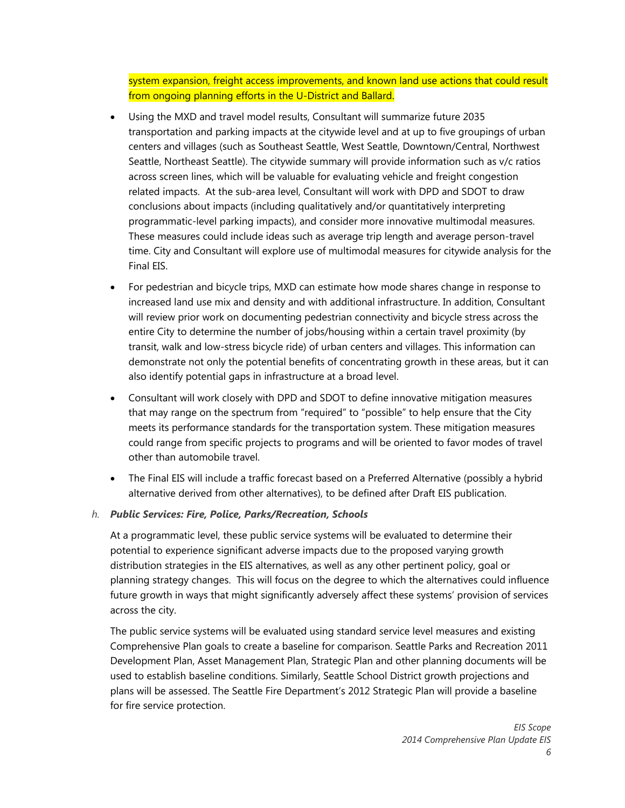system expansion, freight access improvements, and known land use actions that could result from ongoing planning efforts in the U-District and Ballard.

- Using the MXD and travel model results, Consultant will summarize future 2035 transportation and parking impacts at the citywide level and at up to five groupings of urban centers and villages (such as Southeast Seattle, West Seattle, Downtown/Central, Northwest Seattle, Northeast Seattle). The citywide summary will provide information such as v/c ratios across screen lines, which will be valuable for evaluating vehicle and freight congestion related impacts. At the sub-area level, Consultant will work with DPD and SDOT to draw conclusions about impacts (including qualitatively and/or quantitatively interpreting programmatic-level parking impacts), and consider more innovative multimodal measures. These measures could include ideas such as average trip length and average person-travel time. City and Consultant will explore use of multimodal measures for citywide analysis for the Final EIS.
- For pedestrian and bicycle trips, MXD can estimate how mode shares change in response to increased land use mix and density and with additional infrastructure. In addition, Consultant will review prior work on documenting pedestrian connectivity and bicycle stress across the entire City to determine the number of jobs/housing within a certain travel proximity (by transit, walk and low-stress bicycle ride) of urban centers and villages. This information can demonstrate not only the potential benefits of concentrating growth in these areas, but it can also identify potential gaps in infrastructure at a broad level.
- Consultant will work closely with DPD and SDOT to define innovative mitigation measures that may range on the spectrum from "required" to "possible" to help ensure that the City meets its performance standards for the transportation system. These mitigation measures could range from specific projects to programs and will be oriented to favor modes of travel other than automobile travel.
- The Final EIS will include a traffic forecast based on a Preferred Alternative (possibly a hybrid alternative derived from other alternatives), to be defined after Draft EIS publication.

#### *h. Public Services: Fire, Police, Parks/Recreation, Schools*

At a programmatic level, these public service systems will be evaluated to determine their potential to experience significant adverse impacts due to the proposed varying growth distribution strategies in the EIS alternatives, as well as any other pertinent policy, goal or planning strategy changes. This will focus on the degree to which the alternatives could influence future growth in ways that might significantly adversely affect these systems' provision of services across the city.

The public service systems will be evaluated using standard service level measures and existing Comprehensive Plan goals to create a baseline for comparison. Seattle Parks and Recreation 2011 Development Plan, Asset Management Plan, Strategic Plan and other planning documents will be used to establish baseline conditions. Similarly, Seattle School District growth projections and plans will be assessed. The Seattle Fire Department's 2012 Strategic Plan will provide a baseline for fire service protection.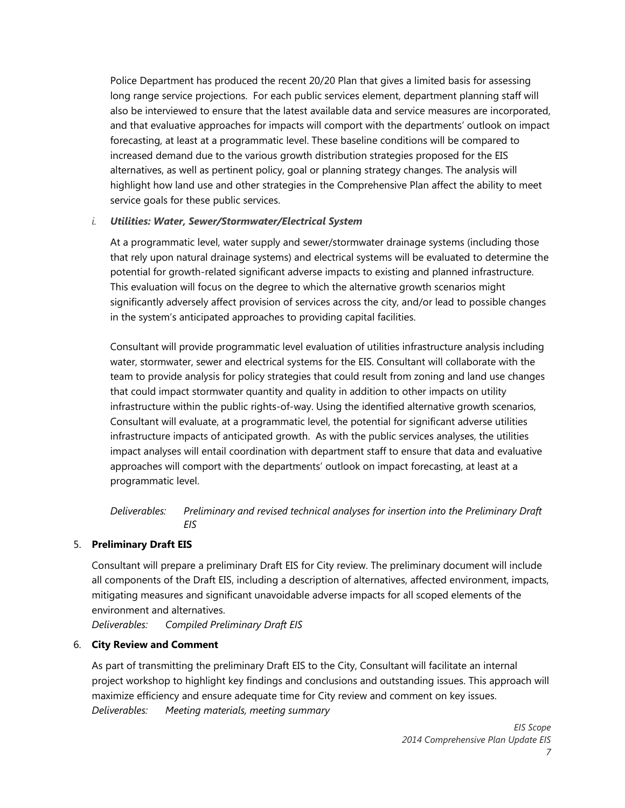Police Department has produced the recent 20/20 Plan that gives a limited basis for assessing long range service projections. For each public services element, department planning staff will also be interviewed to ensure that the latest available data and service measures are incorporated, and that evaluative approaches for impacts will comport with the departments' outlook on impact forecasting, at least at a programmatic level. These baseline conditions will be compared to increased demand due to the various growth distribution strategies proposed for the EIS alternatives, as well as pertinent policy, goal or planning strategy changes. The analysis will highlight how land use and other strategies in the Comprehensive Plan affect the ability to meet service goals for these public services.

## *i. Utilities: Water, Sewer/Stormwater/Electrical System*

At a programmatic level, water supply and sewer/stormwater drainage systems (including those that rely upon natural drainage systems) and electrical systems will be evaluated to determine the potential for growth-related significant adverse impacts to existing and planned infrastructure. This evaluation will focus on the degree to which the alternative growth scenarios might significantly adversely affect provision of services across the city, and/or lead to possible changes in the system's anticipated approaches to providing capital facilities.

Consultant will provide programmatic level evaluation of utilities infrastructure analysis including water, stormwater, sewer and electrical systems for the EIS. Consultant will collaborate with the team to provide analysis for policy strategies that could result from zoning and land use changes that could impact stormwater quantity and quality in addition to other impacts on utility infrastructure within the public rights-of-way. Using the identified alternative growth scenarios, Consultant will evaluate, at a programmatic level, the potential for significant adverse utilities infrastructure impacts of anticipated growth. As with the public services analyses, the utilities impact analyses will entail coordination with department staff to ensure that data and evaluative approaches will comport with the departments' outlook on impact forecasting, at least at a programmatic level.

*Deliverables: Preliminary and revised technical analyses for insertion into the Preliminary Draft EIS* 

# 5. **Preliminary Draft EIS**

Consultant will prepare a preliminary Draft EIS for City review. The preliminary document will include all components of the Draft EIS, including a description of alternatives, affected environment, impacts, mitigating measures and significant unavoidable adverse impacts for all scoped elements of the environment and alternatives.

*Deliverables: Compiled Preliminary Draft EIS* 

#### 6. **City Review and Comment**

As part of transmitting the preliminary Draft EIS to the City, Consultant will facilitate an internal project workshop to highlight key findings and conclusions and outstanding issues. This approach will maximize efficiency and ensure adequate time for City review and comment on key issues. *Deliverables: Meeting materials, meeting summary*